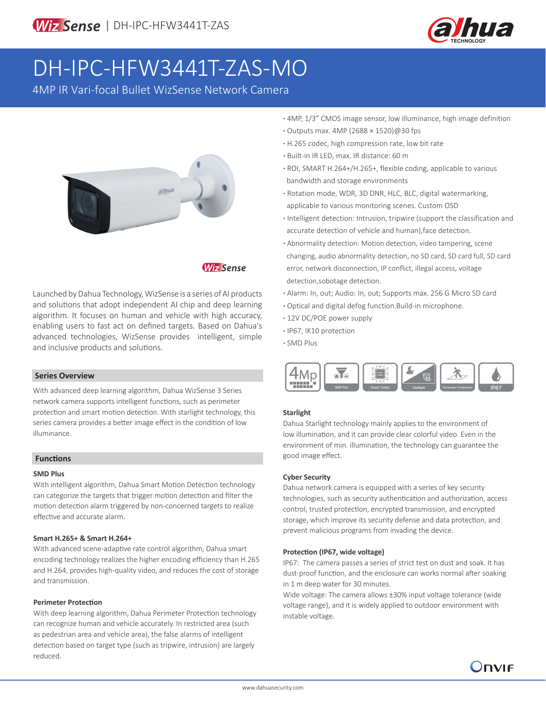

# DH-IPC-HFW3441T-ZAS-MO

4MP IR Vari-focal Bullet WizSense Network Camera



# **Wiz Sense**

Launched by Dahua Technology, WizSense is a series of AI products and solutions that adopt independent AI chip and deep learning algorithm. It focuses on human and vehicle with high accuracy, enabling users to fast act on defined targets. Based on Dahua's advanced technologies, WizSense provides intelligent, simple and inclusive products and solutions.

#### **Series Overview**

With advanced deep learning algorithm, Dahua WizSense 3 Series network camera supports intelligent functions, such as perimeter protection and smart motion detection. With starlight technology, this series camera provides a better image effect in the condition of low illuminance.

#### **Functions**

#### **SMD Plus**

With intelligent algorithm, Dahua Smart Motion Detection technology can categorize the targets that trigger motion detection and filter the motion detection alarm triggered by non-concerned targets to realize effective and accurate alarm.

#### **Smart H.265+ & Smart H.264+**

With advanced scene-adaptive rate control algorithm, Dahua smart encoding technology realizes the higher encoding efficiency than H.265 and H.264, provides high-quality video, and reduces the cost of storage and transmission.

#### **Perimeter Protection**

With deep learning algorithm, Dahua Perimeter Protection technology can recognize human and vehicle accurately. In restricted area (such as pedestrian area and vehicle area), the false alarms of intelligent detection based on target type (such as tripwire, intrusion) are largely reduced.

- **·** 4MP, 1/3" CMOS image sensor, low illuminance, high image definition
- **·** Outputs max. 4MP (2688 × 1520)@30 fps
- **·** H.265 codec, high compression rate, low bit rate
- **·** Built-in IR LED, max. IR distance: 60 m
- **·** ROI, SMART H.264+/H.265+, flexible coding, applicable to various bandwidth and storage environments
- **·** Rotation mode, WDR, 3D DNR, HLC, BLC, digital watermarking, applicable to various monitoring scenes. Custom OSD
- **·** Intelligent detection: Intrusion, tripwire (support the classification and accurate detection of vehicle and human),face detection.
- **·** Abnormality detection: Motion detection, video tampering, scene changing, audio abnormality detection, no SD card, SD card full, SD card error, network disconnection, IP conflict, illegal access, voltage detection,sobotage detection.
- **·** Alarm: In, out; Audio: In, out; Supports max. 256 G Micro SD card
- **·** Optical and digital defog function.Build-in microphone.
- **·** 12V DC/POE power supply
- **·** IP67, IK10 protection
- **·** SMD Plus



#### **Starlight**

Dahua Starlight technology mainly applies to the environment of low illumination, and it can provide clear colorful video. Even in the environment of min. illumination, the technology can guarantee the good image effect.

#### **Cyber Security**

Dahua network camera is equipped with a series of key security technologies, such as security authentication and authorization, access control, trusted protection, encrypted transmission, and encrypted storage, which improve its security defense and data protection, and prevent malicious programs from invading the device.

#### **Protection (IP67, wide voltage)**

IP67: The camera passes a series of strict test on dust and soak. It has dust-proof function, and the enclosure can works normal after soaking in 1 m deep water for 30 minutes.

Wide voltage: The camera allows ±30% input voltage tolerance (wide voltage range), and it is widely applied to outdoor environment with instable voltage.

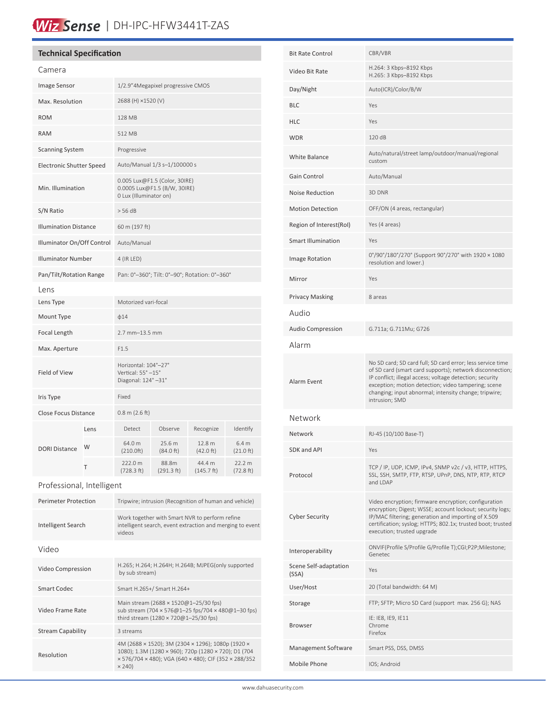# Wiz Sense | DH-IPC-HFW3441T-ZAS

### **Technical Specification**

| Camera                          |      |                                                                                         |                     |                                |                                         |
|---------------------------------|------|-----------------------------------------------------------------------------------------|---------------------|--------------------------------|-----------------------------------------|
| Image Sensor                    |      | 1/2.9"4Megapixel progressive CMOS                                                       |                     |                                |                                         |
| Max. Resolution                 |      | 2688 (H) ×1520 (V)                                                                      |                     |                                |                                         |
| <b>ROM</b>                      |      | <b>128 MB</b>                                                                           |                     |                                |                                         |
| <b>RAM</b>                      |      | 512 MB                                                                                  |                     |                                |                                         |
| <b>Scanning System</b>          |      | Progressive                                                                             |                     |                                |                                         |
| <b>Electronic Shutter Speed</b> |      | Auto/Manual 1/3 s-1/100000 s                                                            |                     |                                |                                         |
| Min. Illumination               |      | 0.005 Lux@F1.5 (Color, 30IRE)<br>0.0005 Lux@F1.5 (B/W, 30IRE)<br>0 Lux (Illuminator on) |                     |                                |                                         |
| S/N Ratio                       |      | $>$ 56 dB                                                                               |                     |                                |                                         |
| <b>Illumination Distance</b>    |      | 60 m (197 ft)                                                                           |                     |                                |                                         |
| Illuminator On/Off Control      |      | Auto/Manual                                                                             |                     |                                |                                         |
| <b>Illuminator Number</b>       |      | 4 (IR LED)                                                                              |                     |                                |                                         |
| Pan/Tilt/Rotation Range         |      | Pan: 0°-360°; Tilt: 0°-90°; Rotation: 0°-360°                                           |                     |                                |                                         |
| Lens                            |      |                                                                                         |                     |                                |                                         |
| Lens Type                       |      | Motorized vari-focal                                                                    |                     |                                |                                         |
| Mount Type                      |      | $\phi$ 14                                                                               |                     |                                |                                         |
| Focal Length                    |      | 2.7 mm-13.5 mm                                                                          |                     |                                |                                         |
| Max. Aperture                   |      | F1.5                                                                                    |                     |                                |                                         |
| Field of View                   |      | Horizontal: 104°-27°<br>Vertical: 55° -15°<br>Diagonal: 124°-31°                        |                     |                                |                                         |
| Iris Type                       |      | Fixed                                                                                   |                     |                                |                                         |
| <b>Close Focus Distance</b>     |      | $0.8$ m (2.6 ft)                                                                        |                     |                                |                                         |
| <b>DORI Distance</b>            | Lens | Detect                                                                                  | Observe             | Recognize                      | Identify                                |
|                                 | W    | 64.0 m<br>(210.0ft)                                                                     | 25.6 m<br>(84.0 ft) | 12.8 <sub>m</sub><br>(42.0 ft) | 6.4 <sub>m</sub><br>$(21.0 \text{ ft})$ |
|                                 | т    | 222.0 m<br>(728.3 ft)                                                                   | 88.8m<br>(291.3 ft) | 44.4 m<br>(145.7 ft)           | 22.2 m<br>(72.8 ft)                     |

Professional, Intelligent

| <b>Perimeter Protection</b> | Tripwire; intrusion (Recognition of human and vehicle)                                                                                                                              |  |  |  |
|-----------------------------|-------------------------------------------------------------------------------------------------------------------------------------------------------------------------------------|--|--|--|
| Intelligent Search          | Work together with Smart NVR to perform refine<br>intelligent search, event extraction and merging to event<br><b>videos</b>                                                        |  |  |  |
| Video                       |                                                                                                                                                                                     |  |  |  |
| Video Compression           | H.265; H.264; H.264H; H.264B; MJPEG(only supported<br>by sub stream)                                                                                                                |  |  |  |
| Smart Codec                 | Smart H.265+/ Smart H.264+                                                                                                                                                          |  |  |  |
| Video Frame Rate            | Main stream (2688 × 1520@1-25/30 fps)<br>sub stream (704 x 576@1-25 fps/704 x 480@1-30 fps)<br>third stream (1280 × 720@1-25/30 fps)                                                |  |  |  |
| <b>Stream Capability</b>    | 3 streams                                                                                                                                                                           |  |  |  |
| Resolution                  | 4M (2688 × 1520); 3M (2304 × 1296); 1080p (1920 ×<br>1080); 1.3M (1280 × 960); 720p (1280 × 720); D1 (704<br>x 576/704 x 480); VGA (640 x 480); CIF (352 x 288/352<br>$\times$ 240) |  |  |  |

| <b>Bit Rate Control</b>        | CBR/VBR                                                                                                                                                                                                                                                                                                              |  |  |
|--------------------------------|----------------------------------------------------------------------------------------------------------------------------------------------------------------------------------------------------------------------------------------------------------------------------------------------------------------------|--|--|
| Video Bit Rate                 | H.264: 3 Kbps-8192 Kbps<br>H.265: 3 Kbps-8192 Kbps                                                                                                                                                                                                                                                                   |  |  |
| Day/Night                      | Auto(ICR)/Color/B/W                                                                                                                                                                                                                                                                                                  |  |  |
| <b>BLC</b>                     | Yes                                                                                                                                                                                                                                                                                                                  |  |  |
| <b>HLC</b>                     | Yes                                                                                                                                                                                                                                                                                                                  |  |  |
| <b>WDR</b>                     | 120 dB                                                                                                                                                                                                                                                                                                               |  |  |
| <b>White Balance</b>           | Auto/natural/street lamp/outdoor/manual/regional<br>custom                                                                                                                                                                                                                                                           |  |  |
| Gain Control                   | Auto/Manual                                                                                                                                                                                                                                                                                                          |  |  |
| Noise Reduction                | 3D DNR                                                                                                                                                                                                                                                                                                               |  |  |
| <b>Motion Detection</b>        | OFF/ON (4 areas, rectangular)                                                                                                                                                                                                                                                                                        |  |  |
| Region of Interest(RoI)        | Yes (4 areas)                                                                                                                                                                                                                                                                                                        |  |  |
| <b>Smart Illumination</b>      | Yes                                                                                                                                                                                                                                                                                                                  |  |  |
| Image Rotation                 | 0°/90°/180°/270° (Support 90°/270° with 1920 × 1080<br>resolution and lower.)                                                                                                                                                                                                                                        |  |  |
| Mirror                         | Yes                                                                                                                                                                                                                                                                                                                  |  |  |
| <b>Privacy Masking</b>         | 8 areas                                                                                                                                                                                                                                                                                                              |  |  |
| Audio                          |                                                                                                                                                                                                                                                                                                                      |  |  |
| <b>Audio Compression</b>       | G.711a; G.711Mu; G726                                                                                                                                                                                                                                                                                                |  |  |
| Alarm                          |                                                                                                                                                                                                                                                                                                                      |  |  |
| Alarm Event                    | No SD card; SD card full; SD card error; less service time<br>of SD card (smart card supports); network disconnection;<br>IP conflict; illegal access; voltage detection; security<br>exception; motion detection; video tampering; scene<br>changing; input abnormal; intensity change; tripwire;<br>intrusion; SMD |  |  |
| Network                        |                                                                                                                                                                                                                                                                                                                      |  |  |
| Network                        | RJ-45 (10/100 Base-T)                                                                                                                                                                                                                                                                                                |  |  |
| SDK and API                    | Yes                                                                                                                                                                                                                                                                                                                  |  |  |
| Protocol                       | TCP / IP, UDP, ICMP, IPv4, SNMP v2c / v3, HTTP, HTTPS,<br>SSL, SSH, SMTP, FTP, RTSP, UPnP, DNS, NTP, RTP, RTCP<br>and LDAP                                                                                                                                                                                           |  |  |
| <b>Cyber Security</b>          | Video encryption; firmware encryption; configuration<br>encryption; Digest; WSSE; account lockout; security logs;<br>IP/MAC filtering; generation and importing of X.509<br>certification; syslog; HTTPS; 802.1x; trusted boot; trusted<br>execution; trusted upgrade                                                |  |  |
| Interoperability               | ONVIF(Profile S/Profile G/Profile T);CGI;P2P;Milestone;<br>Genetec                                                                                                                                                                                                                                                   |  |  |
| Scene Self-adaptation<br>(SSA) | Yes                                                                                                                                                                                                                                                                                                                  |  |  |
| User/Host                      | 20 (Total bandwidth: 64 M)                                                                                                                                                                                                                                                                                           |  |  |
| Storage                        | FTP; SFTP; Micro SD Card (support max. 256 G); NAS                                                                                                                                                                                                                                                                   |  |  |
| Browser                        | IE: IE8, IE9, IE11<br>Chrome<br>Firefox                                                                                                                                                                                                                                                                              |  |  |
| Management Software            | Smart PSS, DSS, DMSS                                                                                                                                                                                                                                                                                                 |  |  |
| Mobile Phone                   | IOS; Android                                                                                                                                                                                                                                                                                                         |  |  |